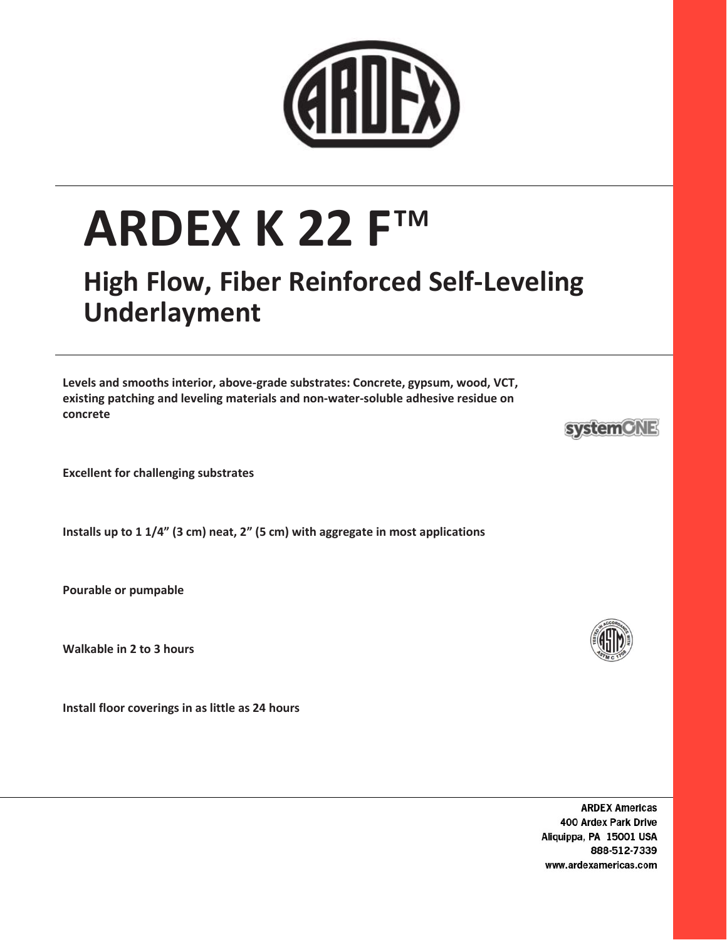

# ARDEX K 22 F™

## High Flow, Fiber Reinforced Self-Leveling Underlayment

Levels and smooths interior, above-grade substrates: Concrete, gypsum, wood, VCT, existing patching and leveling materials and non-water-soluble adhesive residue on concrete

Excellent for challenging substrates

Installs up to 1 1/4" (3 cm) neat, 2" (5 cm) with aggregate in most applications

Pourable or pumpable

Walkable in 2 to 3 hours

Install floor coverings in as little as 24 hours

**ARDEX Americas** 400 Ardex Park Drive Aliquippa, PA 15001 USA 888-512-7339 www.ardexamericas.com



**systemCNE**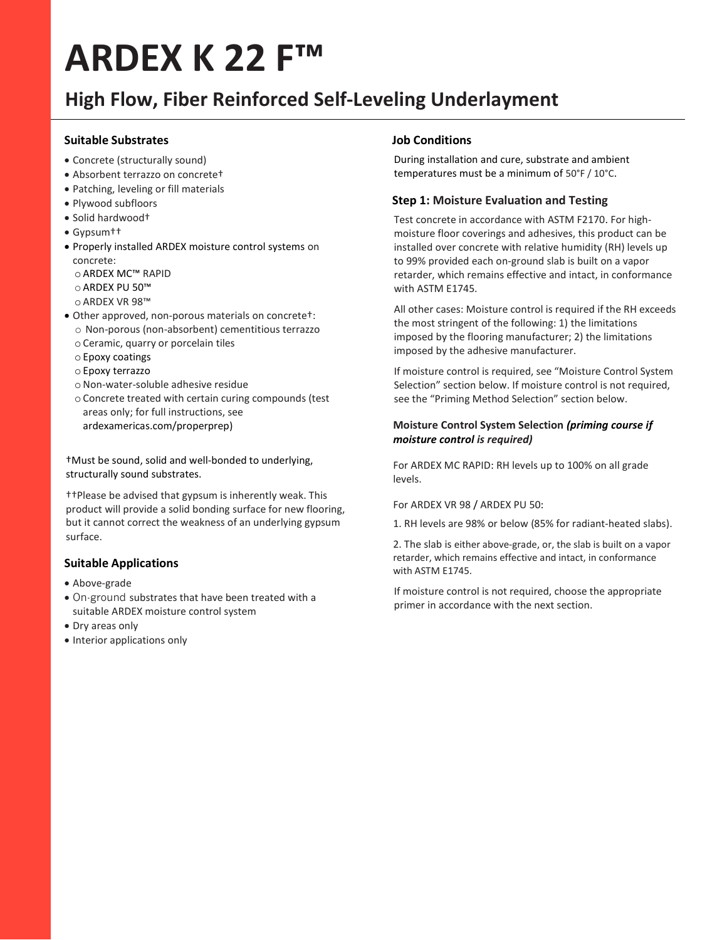## ARDEX K 22 F™

### High Flow, Fiber Reinforced Self-Leveling Underlayment

#### Suitable Substrates

- Concrete (structurally sound)
- Absorbent terrazzo on concrete†
- Patching, leveling or fill materials
- Plywood subfloors
- Solid hardwood†
- Gypsum††
- Properly installed ARDEX moisture control systems on concrete:
	- o ARDEX MC™ RAPID
	- o ARDEX PU 50™
	- o ARDEX VR 98™
- Other approved, non-porous materials on concrete†: o Non-porous (non-absorbent) cementitious terrazzo
	- o Ceramic, quarry or porcelain tiles
	- o Epoxy coatings
	- o Epoxy terrazzo
	- oNon-water-soluble adhesive residue
	- o Concrete treated with certain curing compounds (test areas only; for full instructions, see ardexamericas.com/properprep)

†Must be sound, solid and well-bonded to underlying, structurally sound substrates.

††Please be advised that gypsum is inherently weak. This product will provide a solid bonding surface for new flooring, but it cannot correct the weakness of an underlying gypsum surface.

#### Suitable Applications

- Above-grade
- On-ground substrates that have been treated with a suitable ARDEX moisture control system
- Dry areas only
- Interior applications only

#### Job Conditions

During installation and cure, substrate and ambient temperatures must be a minimum of 50°F / 10°C.

#### Step 1: Moisture Evaluation and Testing

Test concrete in accordance with ASTM F2170. For highmoisture floor coverings and adhesives, this product can be installed over concrete with relative humidity (RH) levels up to 99% provided each on-ground slab is built on a vapor retarder, which remains effective and intact, in conformance with ASTM E1745.

All other cases: Moisture control is required if the RH exceeds the most stringent of the following: 1) the limitations imposed by the flooring manufacturer; 2) the limitations imposed by the adhesive manufacturer.

If moisture control is required, see "Moisture Control System Selection" section below. If moisture control is not required, see the "Priming Method Selection" section below.

#### Moisture Control System Selection (priming course if moisture control is required)

For ARDEX MC RAPID: RH levels up to 100% on all grade levels.

#### For ARDEX VR 98 / ARDEX PU 50:

1. RH levels are 98% or below (85% for radiant-heated slabs).

2. The slab is either above-grade, or, the slab is built on a vapor retarder, which remains effective and intact, in conformance with ASTM E1745.

If moisture control is not required, choose the appropriate primer in accordance with the next section.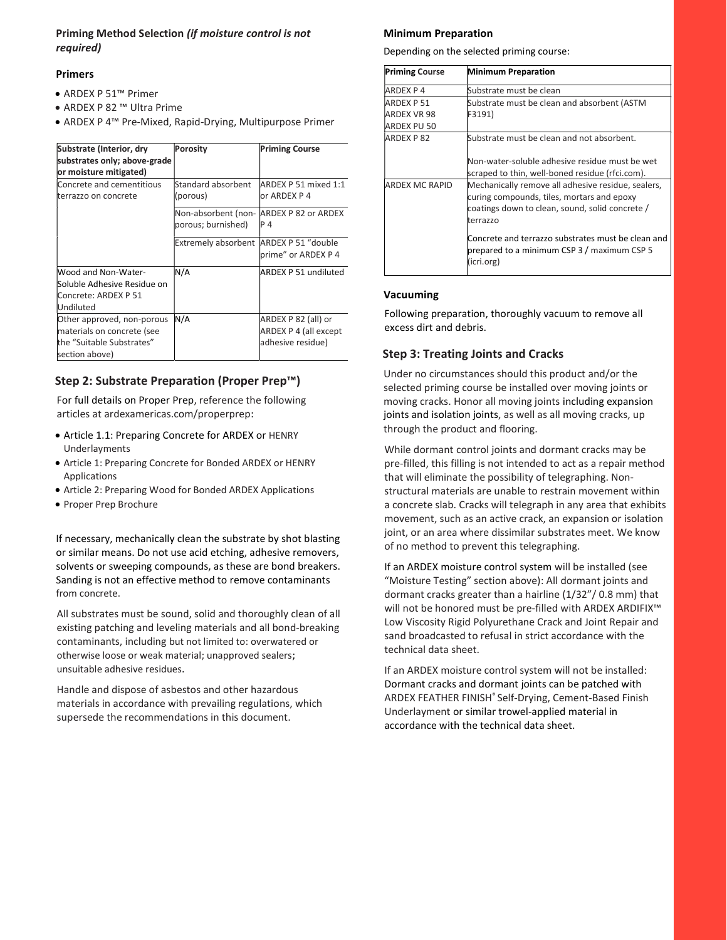#### Priming Method Selection (if moisture control is not required)

#### Primers

- ARDEX P 51™ Primer
- ARDEX P 82 ™ Ultra Prime
- ARDEX P 4™ Pre-Mixed, Rapid-Drying, Multipurpose Primer

| Substrate (Interior, dry<br>substrates only; above-grade<br>or moisture mitigated)                      | Porosity                                  | <b>Priming Course</b>                                             |
|---------------------------------------------------------------------------------------------------------|-------------------------------------------|-------------------------------------------------------------------|
| Concrete and cementitious<br>lterrazzo on concrete                                                      | Standard absorbent<br>(porous)            | ARDEX P 51 mixed 1:1<br>or ARDEX P 4                              |
|                                                                                                         | Non-absorbent (non-<br>porous; burnished) | ARDEX P 82 or ARDEX<br>P 4                                        |
|                                                                                                         | Extremely absorbent ARDEX P 51 "double    | prime" or ARDEX P 4                                               |
| Wood and Non-Water-<br>Soluble Adhesive Residue on<br>Concrete: ARDEX P 51<br>Undiluted                 | N/A                                       | ARDEX P 51 undiluted                                              |
| Other approved, non-porous<br>materials on concrete (see<br>the "Suitable Substrates"<br>section above) | N/A                                       | ARDEX P 82 (all) or<br>ARDEX P 4 (all except<br>adhesive residue) |

#### Step 2: Substrate Preparation (Proper Prep™)

For full details on Proper Prep, reference the following articles at ardexamericas.com/properprep:

- Article 1.1: Preparing Concrete for ARDEX or HENRY Underlayments
- Article 1: Preparing Concrete for Bonded ARDEX or HENRY Applications
- Article 2: Preparing Wood for Bonded ARDEX Applications
- Proper Prep Brochure

If necessary, mechanically clean the substrate by shot blasting or similar means. Do not use acid etching, adhesive removers, solvents or sweeping compounds, as these are bond breakers. Sanding is not an effective method to remove contaminants from concrete.

All substrates must be sound, solid and thoroughly clean of all existing patching and leveling materials and all bond-breaking contaminants, including but not limited to: overwatered or otherwise loose or weak material; unapproved sealers; unsuitable adhesive residues.

Handle and dispose of asbestos and other hazardous materials in accordance with prevailing regulations, which supersede the recommendations in this document.

#### Minimum Preparation

Depending on the selected priming course:

| <b>Priming Course</b> | <b>Minimum Preparation</b>                                                                                                                                      |
|-----------------------|-----------------------------------------------------------------------------------------------------------------------------------------------------------------|
| ARDEX P 4             | Substrate must be clean                                                                                                                                         |
| ARDEX P 51            | Substrate must be clean and absorbent (ASTM                                                                                                                     |
| ARDEX VR 98           | F3191)                                                                                                                                                          |
| ARDEX PU 50           |                                                                                                                                                                 |
| <b>ARDEX P82</b>      | Substrate must be clean and not absorbent.                                                                                                                      |
|                       | Non-water-soluble adhesive residue must be wet                                                                                                                  |
|                       | scraped to thin, well-boned residue (rfci.com).                                                                                                                 |
| ARDEX MC RAPID        | Mechanically remove all adhesive residue, sealers,<br>curing compounds, tiles, mortars and epoxy<br>coatings down to clean, sound, solid concrete /<br>terrazzo |
|                       | Concrete and terrazzo substrates must be clean and<br>prepared to a minimum CSP 3 / maximum CSP 5<br>(icri.org)                                                 |

#### Vacuuming

Following preparation, thoroughly vacuum to remove all excess dirt and debris.

#### Step 3: Treating Joints and Cracks

Under no circumstances should this product and/or the selected priming course be installed over moving joints or moving cracks. Honor all moving joints including expansion joints and isolation joints, as well as all moving cracks, up through the product and flooring.

While dormant control joints and dormant cracks may be pre-filled, this filling is not intended to act as a repair method that will eliminate the possibility of telegraphing. Nonstructural materials are unable to restrain movement within a concrete slab. Cracks will telegraph in any area that exhibits movement, such as an active crack, an expansion or isolation joint, or an area where dissimilar substrates meet. We know of no method to prevent this telegraphing.

If an ARDEX moisture control system will be installed (see "Moisture Testing" section above): All dormant joints and dormant cracks greater than a hairline (1/32"/ 0.8 mm) that will not be honored must be pre-filled with ARDEX ARDIFIX™ Low Viscosity Rigid Polyurethane Crack and Joint Repair and sand broadcasted to refusal in strict accordance with the technical data sheet.

If an ARDEX moisture control system will not be installed: Dormant cracks and dormant joints can be patched with ARDEX FEATHER FINISH® Self-Drying, Cement-Based Finish Underlayment or similar trowel-applied material in accordance with the technical data sheet.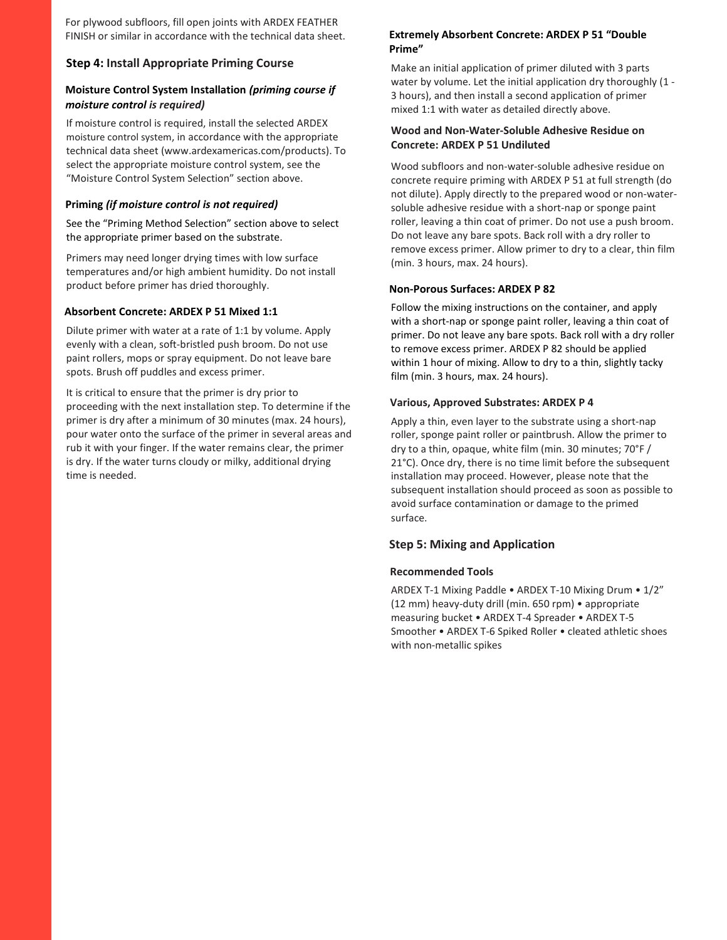For plywood subfloors, fill open joints with ARDEX FEATHER FINISH or similar in accordance with the technical data sheet.

#### Step 4: Install Appropriate Priming Course

#### Moisture Control System Installation (priming course if moisture control is required)

If moisture control is required, install the selected ARDEX moisture control system, in accordance with the appropriate technical data sheet (www.ardexamericas.com/products). To select the appropriate moisture control system, see the "Moisture Control System Selection" section above.

#### Priming (if moisture control is not required)

See the "Priming Method Selection" section above to select the appropriate primer based on the substrate.

Primers may need longer drying times with low surface temperatures and/or high ambient humidity. Do not install product before primer has dried thoroughly.

#### Absorbent Concrete: ARDEX P 51 Mixed 1:1

Dilute primer with water at a rate of 1:1 by volume. Apply evenly with a clean, soft-bristled push broom. Do not use paint rollers, mops or spray equipment. Do not leave bare spots. Brush off puddles and excess primer.

It is critical to ensure that the primer is dry prior to proceeding with the next installation step. To determine if the primer is dry after a minimum of 30 minutes (max. 24 hours), pour water onto the surface of the primer in several areas and rub it with your finger. If the water remains clear, the primer is dry. If the water turns cloudy or milky, additional drying time is needed.

#### Extremely Absorbent Concrete: ARDEX P 51 "Double Prime"

Make an initial application of primer diluted with 3 parts water by volume. Let the initial application dry thoroughly (1 - 3 hours), and then install a second application of primer mixed 1:1 with water as detailed directly above.

#### Wood and Non-Water-Soluble Adhesive Residue on Concrete: ARDEX P 51 Undiluted

Wood subfloors and non-water-soluble adhesive residue on concrete require priming with ARDEX P 51 at full strength (do not dilute). Apply directly to the prepared wood or non-watersoluble adhesive residue with a short-nap or sponge paint roller, leaving a thin coat of primer. Do not use a push broom. Do not leave any bare spots. Back roll with a dry roller to remove excess primer. Allow primer to dry to a clear, thin film (min. 3 hours, max. 24 hours).

#### Non-Porous Surfaces: ARDEX P 82

Follow the mixing instructions on the container, and apply with a short-nap or sponge paint roller, leaving a thin coat of primer. Do not leave any bare spots. Back roll with a dry roller to remove excess primer. ARDEX P 82 should be applied within 1 hour of mixing. Allow to dry to a thin, slightly tacky film (min. 3 hours, max. 24 hours).

#### Various, Approved Substrates: ARDEX P 4

Apply a thin, even layer to the substrate using a short-nap roller, sponge paint roller or paintbrush. Allow the primer to dry to a thin, opaque, white film (min. 30 minutes; 70°F / 21°C). Once dry, there is no time limit before the subsequent installation may proceed. However, please note that the subsequent installation should proceed as soon as possible to avoid surface contamination or damage to the primed surface.

#### Step 5: Mixing and Application

#### Recommended Tools

ARDEX T-1 Mixing Paddle • ARDEX T-10 Mixing Drum • 1/2" (12 mm) heavy-duty drill (min. 650 rpm) • appropriate measuring bucket • ARDEX T-4 Spreader • ARDEX T-5 Smoother • ARDEX T-6 Spiked Roller • cleated athletic shoes with non-metallic spikes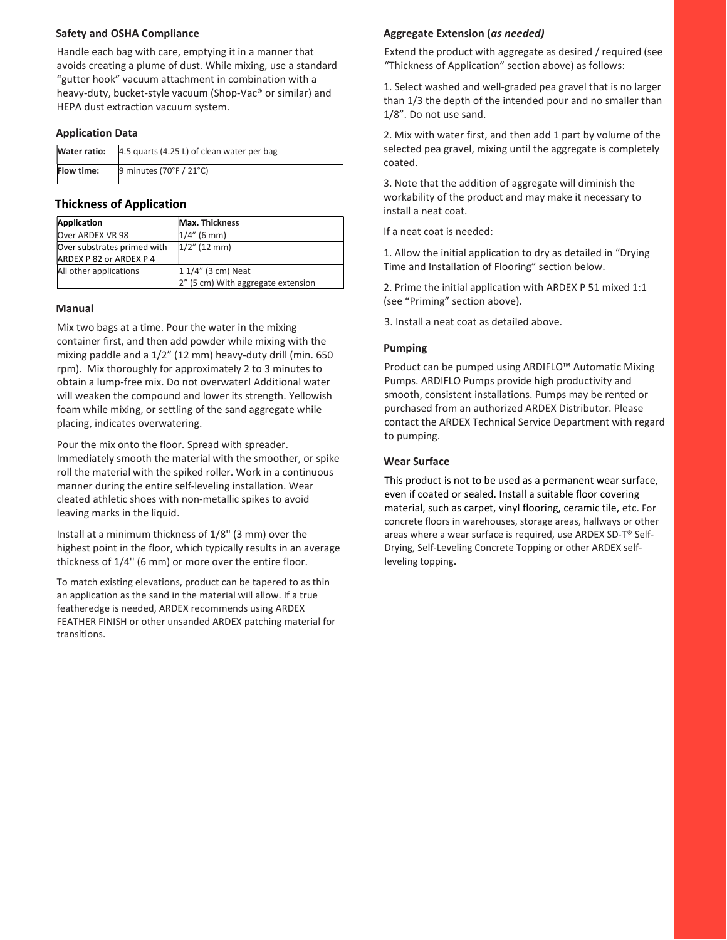#### Safety and OSHA Compliance

Handle each bag with care, emptying it in a manner that avoids creating a plume of dust. While mixing, use a standard "gutter hook" vacuum attachment in combination with a heavy-duty, bucket-style vacuum (Shop-Vac® or similar) and HEPA dust extraction vacuum system.

#### Application Data

| Water ratio:      | 4.5 quarts (4.25 L) of clean water per bag |
|-------------------|--------------------------------------------|
| <b>Flow time:</b> | 9 minutes (70°F / 21°C)                    |

#### Thickness of Application

| Application                 | <b>Max. Thickness</b>              |
|-----------------------------|------------------------------------|
| Over ARDEX VR 98            | $1/4''$ (6 mm)                     |
| Over substrates primed with | $1/2$ " (12 mm)                    |
| ARDEX P 82 or ARDEX P 4     |                                    |
| All other applications      | 1 1/4" (3 cm) Neat                 |
|                             | 2" (5 cm) With aggregate extension |

#### Manual

Mix two bags at a time. Pour the water in the mixing container first, and then add powder while mixing with the mixing paddle and a 1/2" (12 mm) heavy-duty drill (min. 650 rpm). Mix thoroughly for approximately 2 to 3 minutes to obtain a lump-free mix. Do not overwater! Additional water will weaken the compound and lower its strength. Yellowish foam while mixing, or settling of the sand aggregate while placing, indicates overwatering.

Pour the mix onto the floor. Spread with spreader. Immediately smooth the material with the smoother, or spike roll the material with the spiked roller. Work in a continuous manner during the entire self-leveling installation. Wear cleated athletic shoes with non-metallic spikes to avoid leaving marks in the liquid.

Install at a minimum thickness of 1/8'' (3 mm) over the highest point in the floor, which typically results in an average thickness of 1/4'' (6 mm) or more over the entire floor.

To match existing elevations, product can be tapered to as thin an application as the sand in the material will allow. If a true featheredge is needed, ARDEX recommends using ARDEX FEATHER FINISH or other unsanded ARDEX patching material for transitions.

#### Aggregate Extension (as needed)

Extend the product with aggregate as desired / required (see "Thickness of Application" section above) as follows:

1. Select washed and well-graded pea gravel that is no larger than 1/3 the depth of the intended pour and no smaller than 1/8". Do not use sand.

2. Mix with water first, and then add 1 part by volume of the selected pea gravel, mixing until the aggregate is completely coated.

3. Note that the addition of aggregate will diminish the workability of the product and may make it necessary to install a neat coat.

If a neat coat is needed:

1. Allow the initial application to dry as detailed in "Drying Time and Installation of Flooring" section below.

2. Prime the initial application with ARDEX P 51 mixed 1:1 (see "Priming" section above).

3. Install a neat coat as detailed above.

#### Pumping

Product can be pumped using ARDIFLO™ Automatic Mixing Pumps. ARDIFLO Pumps provide high productivity and smooth, consistent installations. Pumps may be rented or purchased from an authorized ARDEX Distributor. Please contact the ARDEX Technical Service Department with regard to pumping.

#### Wear Surface

This product is not to be used as a permanent wear surface, even if coated or sealed. Install a suitable floor covering material, such as carpet, vinyl flooring, ceramic tile, etc. For concrete floors in warehouses, storage areas, hallways or other areas where a wear surface is required, use ARDEX SD-T® Self-Drying, Self-Leveling Concrete Topping or other ARDEX selfleveling topping.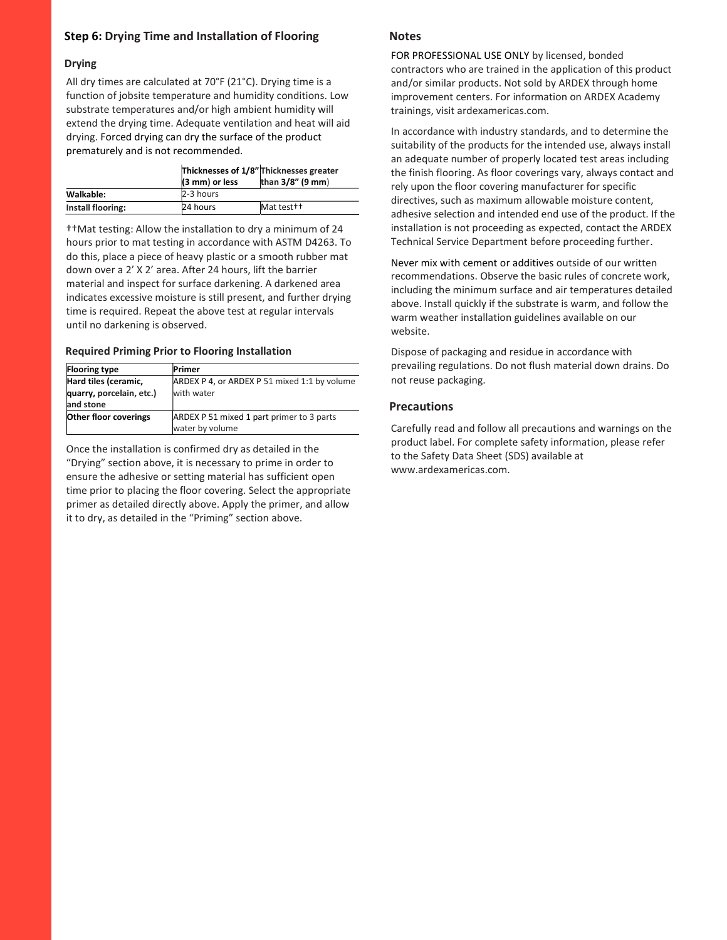#### Step 6: Drying Time and Installation of Flooring

#### Drying

All dry times are calculated at 70°F (21°C). Drying time is a function of jobsite temperature and humidity conditions. Low substrate temperatures and/or high ambient humidity will extend the drying time. Adequate ventilation and heat will aid drying. Forced drying can dry the surface of the product prematurely and is not recommended.

|                   | (3 mm) or less | Thicknesses of 1/8" Thicknesses greater<br>than $3/8$ " (9 mm) |
|-------------------|----------------|----------------------------------------------------------------|
| Walkable:         | 2-3 hours      |                                                                |
| Install flooring: | 24 hours       | Mat test <sup>++</sup>                                         |

††Mat tesƟng: Allow the installaƟon to dry a minimum of 24 hours prior to mat testing in accordance with ASTM D4263. To do this, place a piece of heavy plastic or a smooth rubber mat down over a 2' X 2' area. After 24 hours, lift the barrier material and inspect for surface darkening. A darkened area indicates excessive moisture is still present, and further drying time is required. Repeat the above test at regular intervals until no darkening is observed.

#### Required Priming Prior to Flooring Installation

| <b>Flooring type</b>         | Primer                                       |
|------------------------------|----------------------------------------------|
| Hard tiles (ceramic,         | ARDEX P 4, or ARDEX P 51 mixed 1:1 by volume |
| quarry, porcelain, etc.)     | with water                                   |
| and stone                    |                                              |
| <b>Other floor coverings</b> | ARDEX P 51 mixed 1 part primer to 3 parts    |
|                              | water by volume                              |

Once the installation is confirmed dry as detailed in the "Drying" section above, it is necessary to prime in order to ensure the adhesive or setting material has sufficient open time prior to placing the floor covering. Select the appropriate primer as detailed directly above. Apply the primer, and allow it to dry, as detailed in the "Priming" section above.

#### **Notes**

FOR PROFESSIONAL USE ONLY by licensed, bonded contractors who are trained in the application of this product and/or similar products. Not sold by ARDEX through home improvement centers. For information on ARDEX Academy trainings, visit ardexamericas.com.

In accordance with industry standards, and to determine the suitability of the products for the intended use, always install an adequate number of properly located test areas including the finish flooring. As floor coverings vary, always contact and rely upon the floor covering manufacturer for specific directives, such as maximum allowable moisture content, adhesive selection and intended end use of the product. If the installation is not proceeding as expected, contact the ARDEX Technical Service Department before proceeding further.

Never mix with cement or additives outside of our written recommendations. Observe the basic rules of concrete work, including the minimum surface and air temperatures detailed above. Install quickly if the substrate is warm, and follow the warm weather installation guidelines available on our website.

Dispose of packaging and residue in accordance with prevailing regulations. Do not flush material down drains. Do not reuse packaging.

#### **Precautions**

Carefully read and follow all precautions and warnings on the product label. For complete safety information, please refer to the Safety Data Sheet (SDS) available at www.ardexamericas.com.